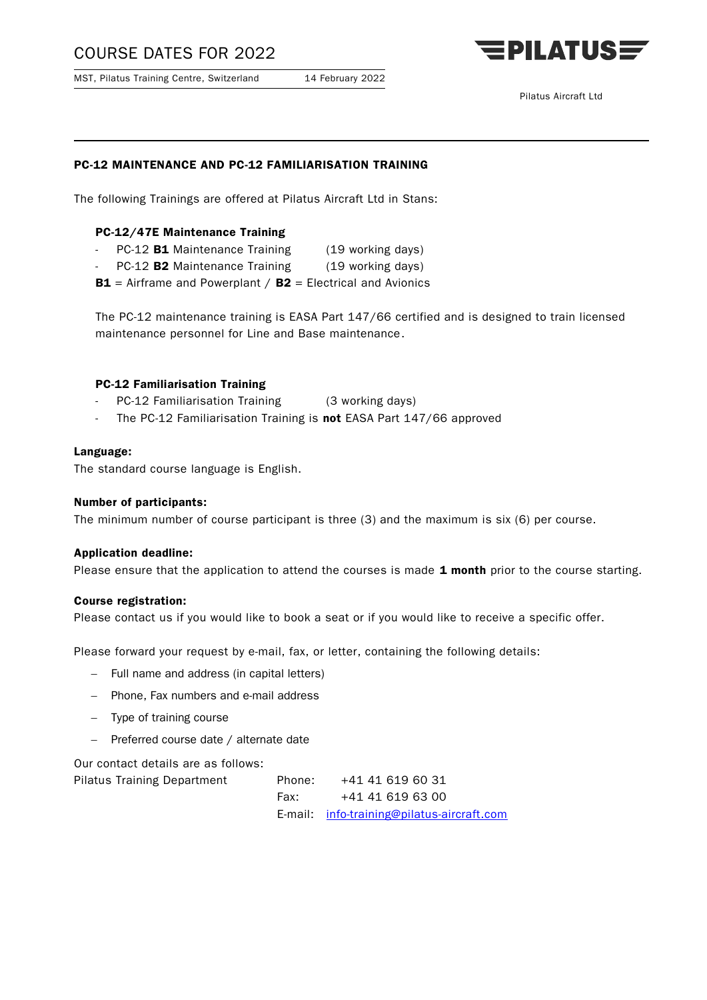# COURSE DATES FOR 2022

MST, Pilatus Training Centre, Switzerland 14 February 2022



## PC-12 MAINTENANCE AND PC-12 FAMILIARISATION TRAINING

The following Trainings are offered at Pilatus Aircraft Ltd in Stans:

### PC-12/47E Maintenance Training

- PC-12 **B1** Maintenance Training (19 working days)
- PC-12 B2 Maintenance Training (19 working days)
- **B1** = Airframe and Powerplant  $/$  **B2** = Electrical and Avionics

The PC-12 maintenance training is EASA Part 147/66 certified and is designed to train licensed maintenance personnel for Line and Base maintenance.

## PC-12 Familiarisation Training

- PC-12 Familiarisation Training (3 working days)
- The PC-12 Familiarisation Training is not EASA Part 147/66 approved

#### Language:

The standard course language is English.

#### Number of participants:

The minimum number of course participant is three (3) and the maximum is six (6) per course.

#### Application deadline:

Please ensure that the application to attend the courses is made 1 month prior to the course starting.

#### Course registration:

Please contact us if you would like to book a seat or if you would like to receive a specific offer.

Please forward your request by e-mail, fax, or letter, containing the following details:

- Full name and address (in capital letters)
- Phone, Fax numbers and e-mail address
- Type of training course
- $-$  Preferred course date / alternate date

Our contact details are as follows:

| <b>Pilatus Training Department</b> | Phone: | +41 41 619 60 31                          |
|------------------------------------|--------|-------------------------------------------|
|                                    | Fax:   | +41 41 619 63 00                          |
|                                    |        | E-mail info-training@pilatus-aircraft.com |